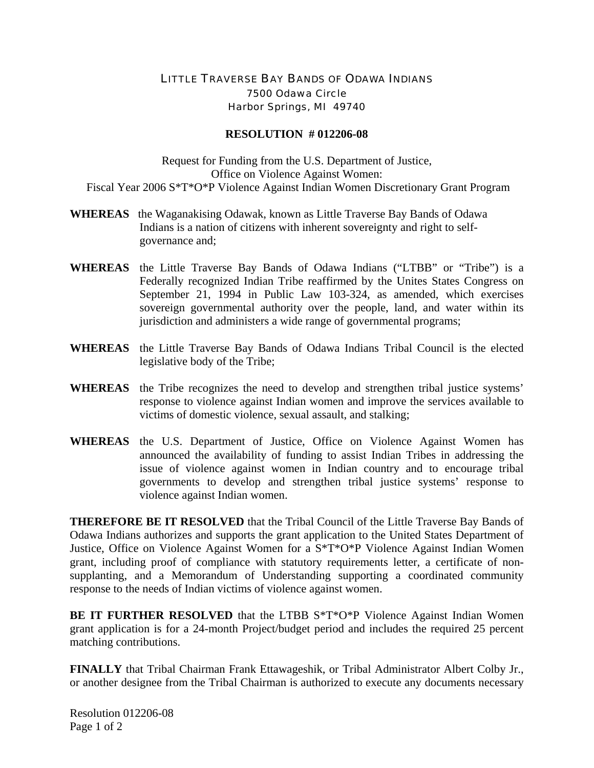## LITTLE TRAVERSE BAY BANDS OF ODAWA INDIANS 7500 Odawa Circle Harbor Springs, MI 49740

## **RESOLUTION # 012206-08**

Request for Funding from the U.S. Department of Justice, Office on Violence Against Women: Fiscal Year 2006 S\*T\*O\*P Violence Against Indian Women Discretionary Grant Program

- **WHEREAS** the Waganakising Odawak, known as Little Traverse Bay Bands of Odawa Indians is a nation of citizens with inherent sovereignty and right to selfgovernance and;
- **WHEREAS** the Little Traverse Bay Bands of Odawa Indians ("LTBB" or "Tribe") is a Federally recognized Indian Tribe reaffirmed by the Unites States Congress on September 21, 1994 in Public Law 103-324, as amended, which exercises sovereign governmental authority over the people, land, and water within its jurisdiction and administers a wide range of governmental programs;
- **WHEREAS** the Little Traverse Bay Bands of Odawa Indians Tribal Council is the elected legislative body of the Tribe;
- **WHEREAS** the Tribe recognizes the need to develop and strengthen tribal justice systems' response to violence against Indian women and improve the services available to victims of domestic violence, sexual assault, and stalking;
- **WHEREAS** the U.S. Department of Justice, Office on Violence Against Women has announced the availability of funding to assist Indian Tribes in addressing the issue of violence against women in Indian country and to encourage tribal governments to develop and strengthen tribal justice systems' response to violence against Indian women.

**THEREFORE BE IT RESOLVED** that the Tribal Council of the Little Traverse Bay Bands of Odawa Indians authorizes and supports the grant application to the United States Department of Justice, Office on Violence Against Women for a S\*T\*O\*P Violence Against Indian Women grant, including proof of compliance with statutory requirements letter, a certificate of nonsupplanting, and a Memorandum of Understanding supporting a coordinated community response to the needs of Indian victims of violence against women.

**BE IT FURTHER RESOLVED** that the LTBB S\*T\*O\*P Violence Against Indian Women grant application is for a 24-month Project/budget period and includes the required 25 percent matching contributions.

**FINALLY** that Tribal Chairman Frank Ettawageshik, or Tribal Administrator Albert Colby Jr., or another designee from the Tribal Chairman is authorized to execute any documents necessary

Resolution 012206-08 Page 1 of 2